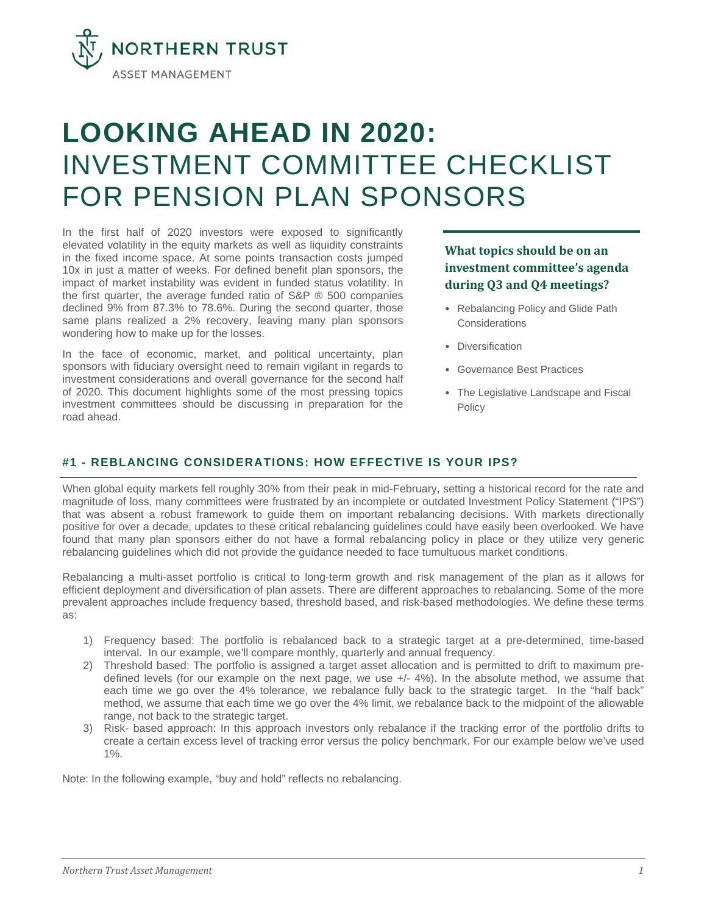

# **LOOKING AHEAD IN 2020:** INVESTMENT COMMITTEE CHECKLIST FOR PENSION PLAN SPONSORS

In the first half of 2020 investors were exposed to significantly elevated volatility in the equity markets as well as liquidity constraints in the fixed income space. At some points transaction costs jumped 10x in just a matter of weeks. For defined benefit plan sponsors, the impact of market instability was evident in funded status volatility. In the first quarter, the average funded ratio of  $S\&P \& 500$  companies declined 9% from 87.3% to 78.6%. During the second quarter, those same plans realized a 2% recovery, leaving many plan sponsors wondering how to make up for the losses.

In the face of economic, market, and political uncertainty, plan sponsors with fiduciary oversight need to remain vigilant in regards to investment considerations and overall governance for the second half of 2020. This document highlights some of the most pressing topics investment committees should be discussing in preparation for the road ahead.

## **What topics should be on an investment committee's agenda during Q3 and Q4 meetings?**

- Rebalancing Policy and Glide Path **Considerations**
- Diversification
- Governance Best Practices
- The Legislative Landscape and Fiscal Policy

## **#1 - REBLANCING CONSIDERATIONS: HOW EFFECTIVE IS YOUR IPS?**

When global equity markets fell roughly 30% from their peak in mid-February, setting a historical record for the rate and magnitude of loss, many committees were frustrated by an incomplete or outdated Investment Policy Statement ("IPS") that was absent a robust framework to guide them on important rebalancing decisions. With markets directionally positive for over a decade, updates to these critical rebalancing guidelines could have easily been overlooked. We have found that many plan sponsors either do not have a formal rebalancing policy in place or they utilize very generic rebalancing guidelines which did not provide the guidance needed to face tumultuous market conditions.

Rebalancing a multi-asset portfolio is critical to long-term growth and risk management of the plan as it allows for efficient deployment and diversification of plan assets. There are different approaches to rebalancing. Some of the more prevalent approaches include frequency based, threshold based, and risk-based methodologies. We define these terms as:

- 1) Frequency based: The portfolio is rebalanced back to a strategic target at a pre-determined, time-based interval. In our example, we'll compare monthly, quarterly and annual frequency.
- 2) Threshold based: The portfolio is assigned a target asset allocation and is permitted to drift to maximum predefined levels (for our example on the next page, we use +/- 4%). In the absolute method, we assume that each time we go over the 4% tolerance, we rebalance fully back to the strategic target. In the "half back" method, we assume that each time we go over the 4% limit, we rebalance back to the midpoint of the allowable range, not back to the strategic target.
- 3) Risk- based approach: In this approach investors only rebalance if the tracking error of the portfolio drifts to create a certain excess level of tracking error versus the policy benchmark. For our example below we've used 1%.

Note: In the following example, "buy and hold" reflects no rebalancing.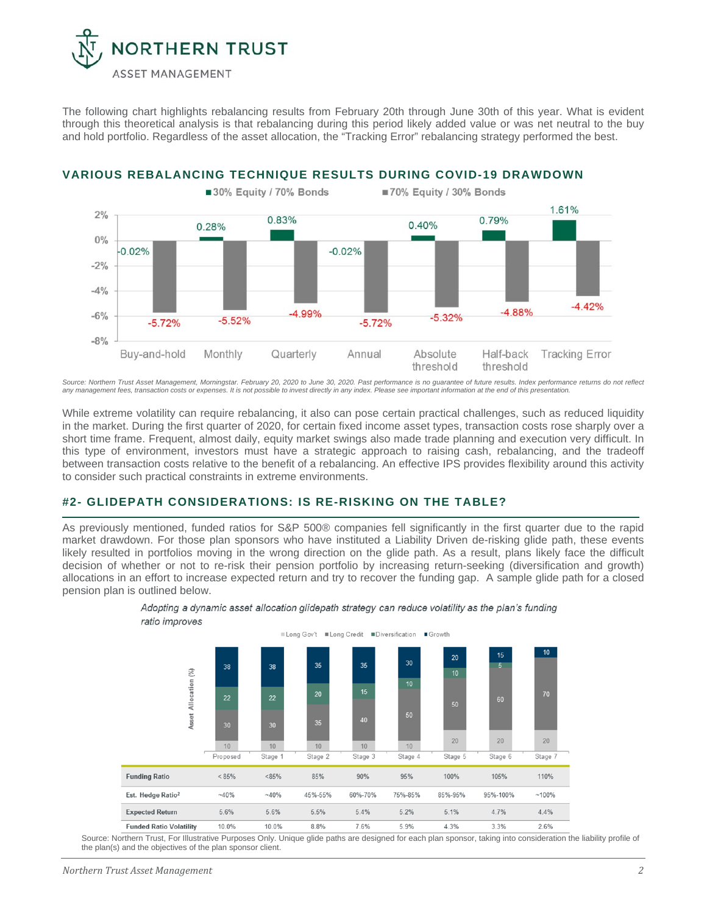

The following chart highlights rebalancing results from February 20th through June 30th of this year. What is evident through this theoretical analysis is that rebalancing during this period likely added value or was net neutral to the buy and hold portfolio. Regardless of the asset allocation, the "Tracking Error" rebalancing strategy performed the best.



**VARIOUS REBALANCING TECHNIQUE RESULTS DURING COVID-19 DRAWDOWN**

*Source: Northern Trust Asset Management, Morningstar. February 20, 2020 to June 30, 2020. Past performance is no guarantee of future results. Index performance returns do not reflect*  any management fees, transaction costs or expenses. It is not possible to invest directly in any index. Please see important information at the end of this presentation.

While extreme volatility can require rebalancing, it also can pose certain practical challenges, such as reduced liquidity in the market. During the first quarter of 2020, for certain fixed income asset types, transaction costs rose sharply over a short time frame. Frequent, almost daily, equity market swings also made trade planning and execution very difficult. In this type of environment, investors must have a strategic approach to raising cash, rebalancing, and the tradeoff between transaction costs relative to the benefit of a rebalancing. An effective IPS provides flexibility around this activity to consider such practical constraints in extreme environments.

#### **#2- GLIDEPATH CONSIDERATIONS: IS RE-RISKING ON THE TABLE?**

As previously mentioned, funded ratios for S&P 500® companies fell significantly in the first quarter due to the rapid market drawdown. For those plan sponsors who have instituted a Liability Driven de-risking glide path, these events likely resulted in portfolios moving in the wrong direction on the glide path. As a result, plans likely face the difficult decision of whether or not to re-risk their pension portfolio by increasing return-seeking (diversification and growth) allocations in an effort to increase expected return and try to recover the funding gap. A sample glide path for a closed pension plan is outlined below.



Adopting a dynamic asset allocation glidepath strategy can reduce volatility as the plan's funding ratio improves

Source: Northern Trust, For Illustrative Purposes Only. Unique glide paths are designed for each plan sponsor, taking into consideration the liability profile of the plan(s) and the objectives of the plan sponsor client.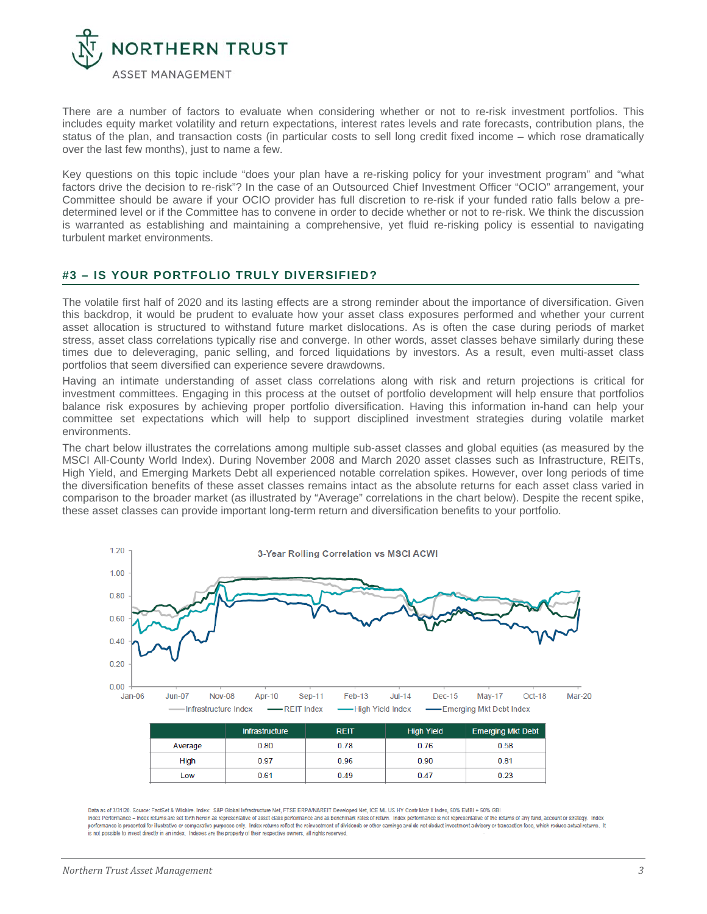

There are a number of factors to evaluate when considering whether or not to re-risk investment portfolios. This includes equity market volatility and return expectations, interest rates levels and rate forecasts, contribution plans, the status of the plan, and transaction costs (in particular costs to sell long credit fixed income – which rose dramatically over the last few months), just to name a few.

Key questions on this topic include "does your plan have a re-risking policy for your investment program" and "what factors drive the decision to re-risk"? In the case of an Outsourced Chief Investment Officer "OCIO" arrangement, your Committee should be aware if your OCIO provider has full discretion to re-risk if your funded ratio falls below a predetermined level or if the Committee has to convene in order to decide whether or not to re-risk. We think the discussion is warranted as establishing and maintaining a comprehensive, yet fluid re-risking policy is essential to navigating turbulent market environments.

#### **#3 – IS YOUR PORTFOLIO TRULY DIVERSIFIED?**

The volatile first half of 2020 and its lasting effects are a strong reminder about the importance of diversification. Given this backdrop, it would be prudent to evaluate how your asset class exposures performed and whether your current asset allocation is structured to withstand future market dislocations. As is often the case during periods of market stress, asset class correlations typically rise and converge. In other words, asset classes behave similarly during these times due to deleveraging, panic selling, and forced liquidations by investors. As a result, even multi-asset class portfolios that seem diversified can experience severe drawdowns.

Having an intimate understanding of asset class correlations along with risk and return projections is critical for investment committees. Engaging in this process at the outset of portfolio development will help ensure that portfolios balance risk exposures by achieving proper portfolio diversification. Having this information in-hand can help your committee set expectations which will help to support disciplined investment strategies during volatile market environments.

The chart below illustrates the correlations among multiple sub-asset classes and global equities (as measured by the MSCI All-County World Index). During November 2008 and March 2020 asset classes such as Infrastructure, REITs, High Yield, and Emerging Markets Debt all experienced notable correlation spikes. However, over long periods of time the diversification benefits of these asset classes remains intact as the absolute returns for each asset class varied in comparison to the broader market (as illustrated by "Average" correlations in the chart below). Despite the recent spike, these asset classes can provide important long-term return and diversification benefits to your portfolio.



Data as of 3/31/20. Source: FactSet & Wilshire. Index: S&P Global Infrastructure Net, FTSE ERPA/NAREIT Developed Net, ICE ML US HY Contr Mstr II Index, 50% EMBI + 50% GBI Index Performance - Index returns are set forth herein as representative of asset class performance and as benchmark rates of return. Index performance is not representative of the returns of any fund, account or strategy. performance is presented for illustrative or comparative purposes only. Index returns reflect the reinvestment of dividends or other earnings and do not deduct investment advisory or transaction fees, which reduce actual r is not possible to invest directly in an index. Indexes are the property of their respective owners, all rights reserved.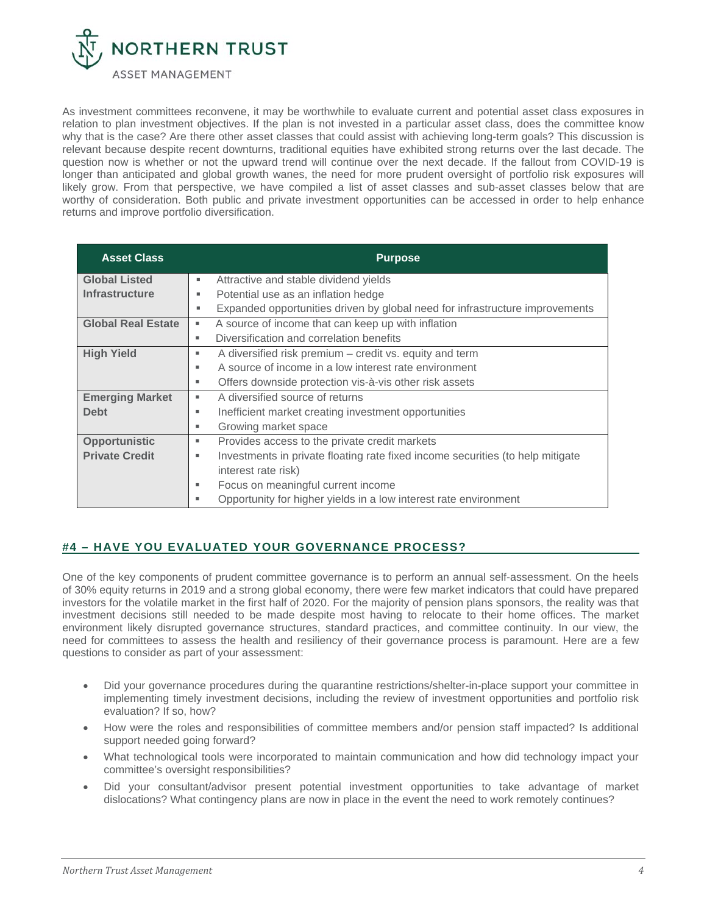

As investment committees reconvene, it may be worthwhile to evaluate current and potential asset class exposures in relation to plan investment objectives. If the plan is not invested in a particular asset class, does the committee know why that is the case? Are there other asset classes that could assist with achieving long-term goals? This discussion is relevant because despite recent downturns, traditional equities have exhibited strong returns over the last decade. The question now is whether or not the upward trend will continue over the next decade. If the fallout from COVID-19 is longer than anticipated and global growth wanes, the need for more prudent oversight of portfolio risk exposures will likely grow. From that perspective, we have compiled a list of asset classes and sub-asset classes below that are worthy of consideration. Both public and private investment opportunities can be accessed in order to help enhance returns and improve portfolio diversification.

| <b>Asset Class</b>        | <b>Purpose</b>                                                                      |
|---------------------------|-------------------------------------------------------------------------------------|
| <b>Global Listed</b>      | Attractive and stable dividend yields<br>٠                                          |
| <b>Infrastructure</b>     | Potential use as an inflation hedge<br>٠                                            |
|                           | Expanded opportunities driven by global need for infrastructure improvements<br>٠   |
| <b>Global Real Estate</b> | A source of income that can keep up with inflation<br>٠                             |
|                           | Diversification and correlation benefits<br>٠                                       |
| <b>High Yield</b>         | A diversified risk premium – credit vs. equity and term<br>٠                        |
|                           | A source of income in a low interest rate environment<br>٠                          |
|                           | Offers downside protection vis-à-vis other risk assets<br>٠                         |
| <b>Emerging Market</b>    | A diversified source of returns<br>٠                                                |
| <b>Debt</b>               | Inefficient market creating investment opportunities<br>٠                           |
|                           | Growing market space<br>٠                                                           |
| <b>Opportunistic</b>      | Provides access to the private credit markets<br>٠                                  |
| <b>Private Credit</b>     | Investments in private floating rate fixed income securities (to help mitigate<br>٠ |
|                           | interest rate risk)                                                                 |
|                           | Focus on meaningful current income<br>٠                                             |
|                           | Opportunity for higher yields in a low interest rate environment                    |

## **#4 – HAVE YOU EVALUATED YOUR GOVERNANCE PROCESS?**

One of the key components of prudent committee governance is to perform an annual self-assessment. On the heels of 30% equity returns in 2019 and a strong global economy, there were few market indicators that could have prepared investors for the volatile market in the first half of 2020. For the majority of pension plans sponsors, the reality was that investment decisions still needed to be made despite most having to relocate to their home offices. The market environment likely disrupted governance structures, standard practices, and committee continuity. In our view, the need for committees to assess the health and resiliency of their governance process is paramount. Here are a few questions to consider as part of your assessment:

- Did your governance procedures during the quarantine restrictions/shelter-in-place support your committee in implementing timely investment decisions, including the review of investment opportunities and portfolio risk evaluation? If so, how?
- How were the roles and responsibilities of committee members and/or pension staff impacted? Is additional support needed going forward?
- What technological tools were incorporated to maintain communication and how did technology impact your committee's oversight responsibilities?
- Did your consultant/advisor present potential investment opportunities to take advantage of market dislocations? What contingency plans are now in place in the event the need to work remotely continues?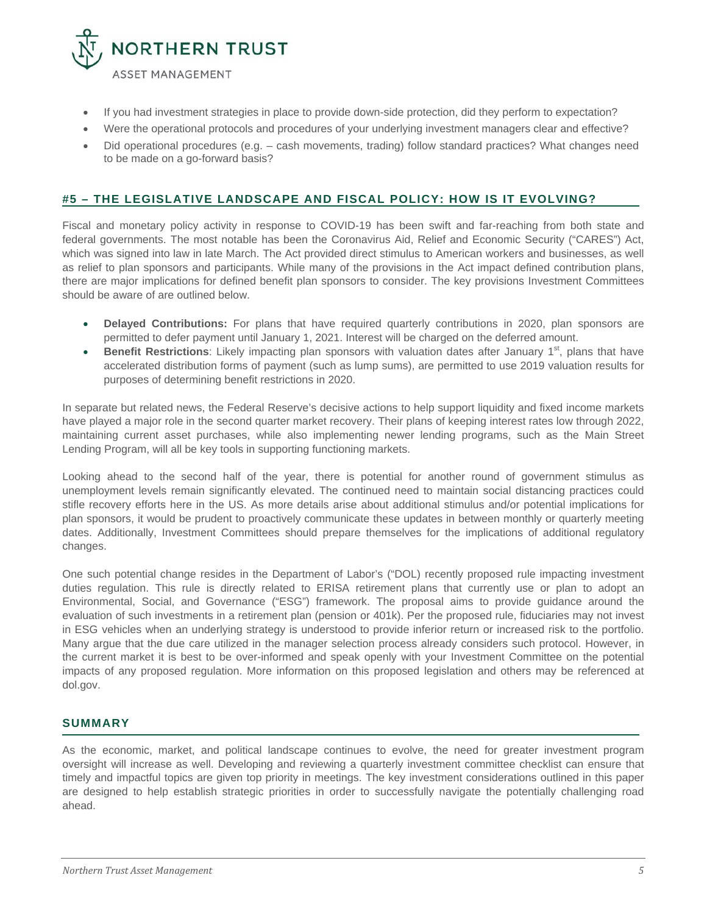

- If you had investment strategies in place to provide down-side protection, did they perform to expectation?
- Were the operational protocols and procedures of your underlying investment managers clear and effective?
- Did operational procedures (e.g. cash movements, trading) follow standard practices? What changes need to be made on a go-forward basis?

### **#5 – THE LEGISLATIVE LANDSCAPE AND FISCAL POLICY: HOW IS IT EVOLVING?**

Fiscal and monetary policy activity in response to COVID-19 has been swift and far-reaching from both state and federal governments. The most notable has been the Coronavirus Aid, Relief and Economic Security ("CARES") Act, which was signed into law in late March. The Act provided direct stimulus to American workers and businesses, as well as relief to plan sponsors and participants. While many of the provisions in the Act impact defined contribution plans, there are major implications for defined benefit plan sponsors to consider. The key provisions Investment Committees should be aware of are outlined below.

- **Delayed Contributions:** For plans that have required quarterly contributions in 2020, plan sponsors are permitted to defer payment until January 1, 2021. Interest will be charged on the deferred amount.
- **Benefit Restrictions**: Likely impacting plan sponsors with valuation dates after January 1<sup>st</sup>, plans that have accelerated distribution forms of payment (such as lump sums), are permitted to use 2019 valuation results for purposes of determining benefit restrictions in 2020.

In separate but related news, the Federal Reserve's decisive actions to help support liquidity and fixed income markets have played a major role in the second quarter market recovery. Their plans of keeping interest rates low through 2022, maintaining current asset purchases, while also implementing newer lending programs, such as the Main Street Lending Program, will all be key tools in supporting functioning markets.

Looking ahead to the second half of the year, there is potential for another round of government stimulus as unemployment levels remain significantly elevated. The continued need to maintain social distancing practices could stifle recovery efforts here in the US. As more details arise about additional stimulus and/or potential implications for plan sponsors, it would be prudent to proactively communicate these updates in between monthly or quarterly meeting dates. Additionally, Investment Committees should prepare themselves for the implications of additional regulatory changes.

One such potential change resides in the Department of Labor's ("DOL) recently proposed rule impacting investment duties regulation. This rule is directly related to ERISA retirement plans that currently use or plan to adopt an Environmental, Social, and Governance ("ESG") framework. The proposal aims to provide guidance around the evaluation of such investments in a retirement plan (pension or 401k). Per the proposed rule, fiduciaries may not invest in ESG vehicles when an underlying strategy is understood to provide inferior return or increased risk to the portfolio. Many argue that the due care utilized in the manager selection process already considers such protocol. However, in the current market it is best to be over-informed and speak openly with your Investment Committee on the potential impacts of any proposed regulation. More information on this proposed legislation and others may be referenced at dol.gov.

#### **SUMMARY**

As the economic, market, and political landscape continues to evolve, the need for greater investment program oversight will increase as well. Developing and reviewing a quarterly investment committee checklist can ensure that timely and impactful topics are given top priority in meetings. The key investment considerations outlined in this paper are designed to help establish strategic priorities in order to successfully navigate the potentially challenging road ahead.